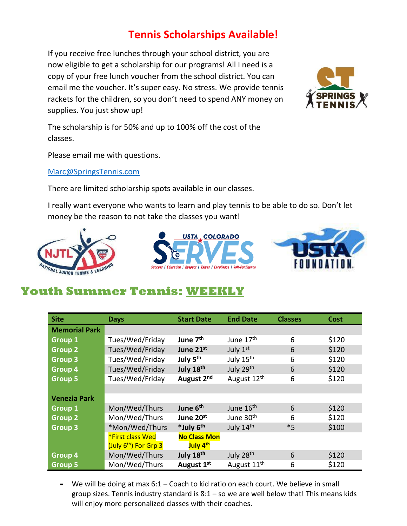## **Tennis Scholarships Available!**

If you receive free lunches through your school district, you are now eligible to get a scholarship for our programs! All I need is a copy of your free lunch voucher from the school district. You can email me the voucher. It's super easy. No stress. We provide tennis rackets for the children, so you don't need to spend ANY money on supplies. You just show up!



The scholarship is for 50% and up to 100% off the cost of the classes.

Please email me with questions.

[Marc@SpringsTennis.com](mailto:Marc@SpringsTennis.com)

There are limited scholarship spots available in our classes.

I really want everyone who wants to learn and play tennis to be able to do so. Don't let money be the reason to not take the classes you want!







## **Youth Summer Tennis: WEEKLY**

| <b>Site</b>          | <b>Days</b>                       | <b>Start Date</b>      | <b>End Date</b>         | <b>Classes</b> | <b>Cost</b> |
|----------------------|-----------------------------------|------------------------|-------------------------|----------------|-------------|
| <b>Memorial Park</b> |                                   |                        |                         |                |             |
| <b>Group 1</b>       | Tues/Wed/Friday                   | June 7 <sup>th</sup>   | June 17 <sup>th</sup>   | 6              | \$120       |
| <b>Group 2</b>       | Tues/Wed/Friday                   | June 21st              | July 1st                | 6              | \$120       |
| <b>Group 3</b>       | Tues/Wed/Friday                   | July 5 <sup>th</sup>   | July 15 <sup>th</sup>   | 6              | \$120       |
| Group 4              | Tues/Wed/Friday                   | July 18th              | July 29th               | 6              | \$120       |
| <b>Group 5</b>       | Tues/Wed/Friday                   | August 2 <sup>nd</sup> | August 12 <sup>th</sup> | 6              | \$120       |
|                      |                                   |                        |                         |                |             |
| <b>Venezia Park</b>  |                                   |                        |                         |                |             |
| <b>Group 1</b>       | Mon/Wed/Thurs                     | June 6 <sup>th</sup>   | June 16 <sup>th</sup>   | 6              | \$120       |
| <b>Group 2</b>       | Mon/Wed/Thurs                     | June 20 <sup>st</sup>  | June 30 <sup>th</sup>   | 6              | \$120       |
| <b>Group 3</b>       | *Mon/Wed/Thurs                    | *July 6 <sup>th</sup>  | July 14th               | $*5$           | \$100       |
|                      | <b>*First class Wed</b>           | <b>No Class Mon</b>    |                         |                |             |
|                      | (July 6 <sup>th</sup> ) For Grp 3 | July 4 <sup>th</sup>   |                         |                |             |
| Group 4              | Mon/Wed/Thurs                     | July 18th              | July 28 <sup>th</sup>   | 6              | \$120       |
| <b>Group 5</b>       | Mon/Wed/Thurs                     | August 1 <sup>st</sup> | August 11 <sup>th</sup> | 6              | \$120       |

**-** We will be doing at max 6:1 – Coach to kid ratio on each court. We believe in small group sizes. Tennis industry standard is  $8:1 -$  so we are well below that! This means kids will enjoy more personalized classes with their coaches.